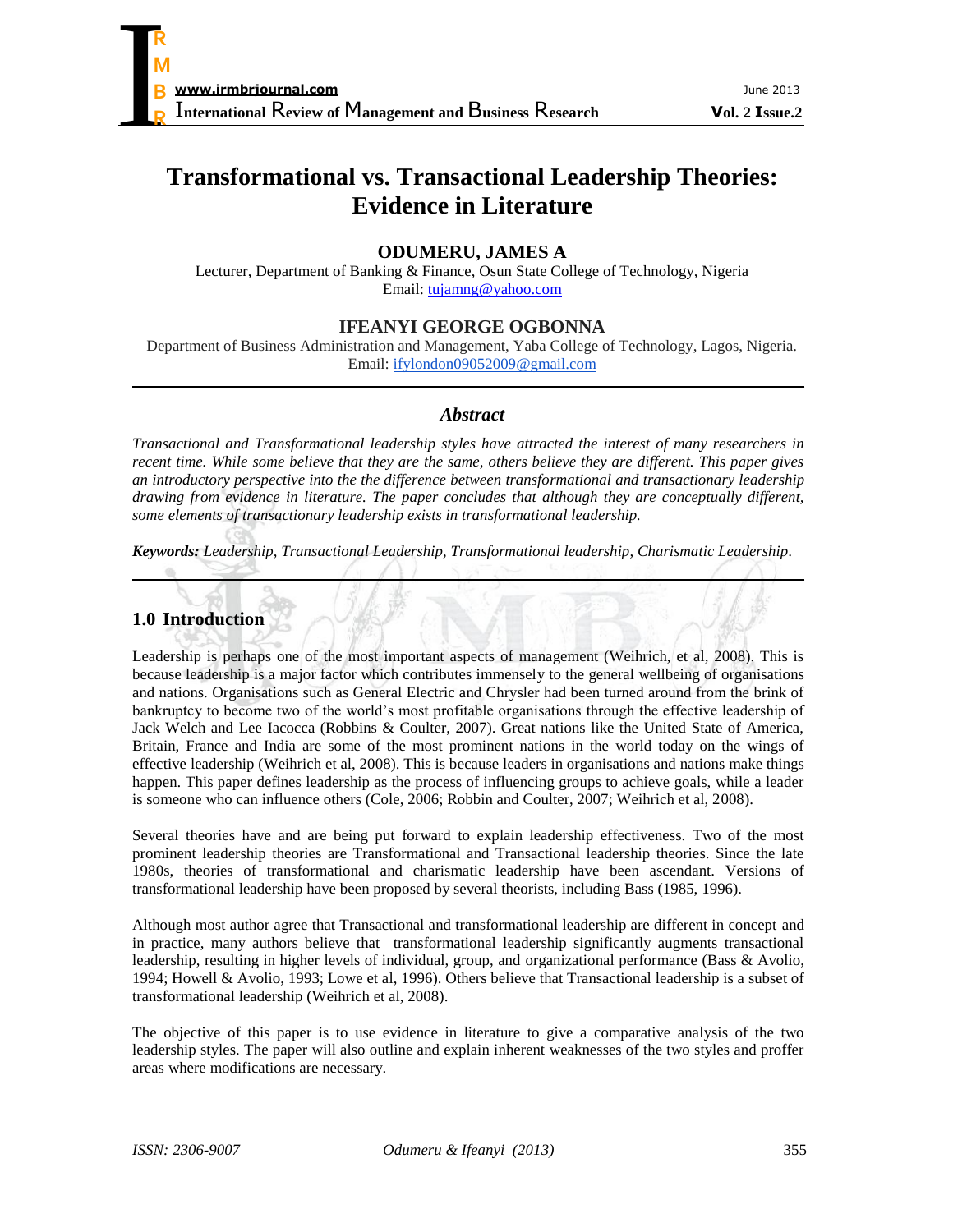# **Transformational vs. Transactional Leadership Theories: Evidence in Literature**

## **ODUMERU, JAMES A**

Lecturer, Department of Banking & Finance, Osun State College of Technology, Nigeria Email: [tujamng@yahoo.com](mailto:tujamng@yahoo.com)

## **IFEANYI GEORGE OGBONNA**

Department of Business Administration and Management, Yaba College of Technology, Lagos, Nigeria. Email: [ifylondon09052009@gmail.com](mailto:ifylondon09052009@gmail.com)

### *Abstract*

*Transactional and Transformational leadership styles have attracted the interest of many researchers in recent time. While some believe that they are the same, others believe they are different. This paper gives an introductory perspective into the the difference between transformational and transactionary leadership drawing from evidence in literature. The paper concludes that although they are conceptually different, some elements of transactionary leadership exists in transformational leadership.*

*Keywords: Leadership, Transactional Leadership, Transformational leadership, Charismatic Leadership.*

## **1.0 Introduction**

Leadership is perhaps one of the most important aspects of management (Weihrich, et al, 2008). This is because leadership is a major factor which contributes immensely to the general wellbeing of organisations and nations. Organisations such as General Electric and Chrysler had been turned around from the brink of bankruptcy to become two of the world's most profitable organisations through the effective leadership of Jack Welch and Lee Iacocca (Robbins & Coulter, 2007). Great nations like the United State of America, Britain, France and India are some of the most prominent nations in the world today on the wings of effective leadership (Weihrich et al, 2008). This is because leaders in organisations and nations make things happen. This paper defines leadership as the process of influencing groups to achieve goals, while a leader is someone who can influence others (Cole, 2006; Robbin and Coulter, 2007; Weihrich et al, 2008).

Several theories have and are being put forward to explain leadership effectiveness. Two of the most prominent leadership theories are Transformational and Transactional leadership theories. Since the late 1980s, theories of transformational and charismatic leadership have been ascendant. Versions of transformational leadership have been proposed by several theorists, including Bass (1985, 1996).

Although most author agree that Transactional and transformational leadership are different in concept and in practice, many authors believe that transformational leadership significantly augments transactional leadership, resulting in higher levels of individual, group, and organizational performance (Bass & Avolio, 1994; Howell & Avolio, 1993; Lowe et al, 1996). Others believe that Transactional leadership is a subset of transformational leadership (Weihrich et al, 2008).

The objective of this paper is to use evidence in literature to give a comparative analysis of the two leadership styles. The paper will also outline and explain inherent weaknesses of the two styles and proffer areas where modifications are necessary.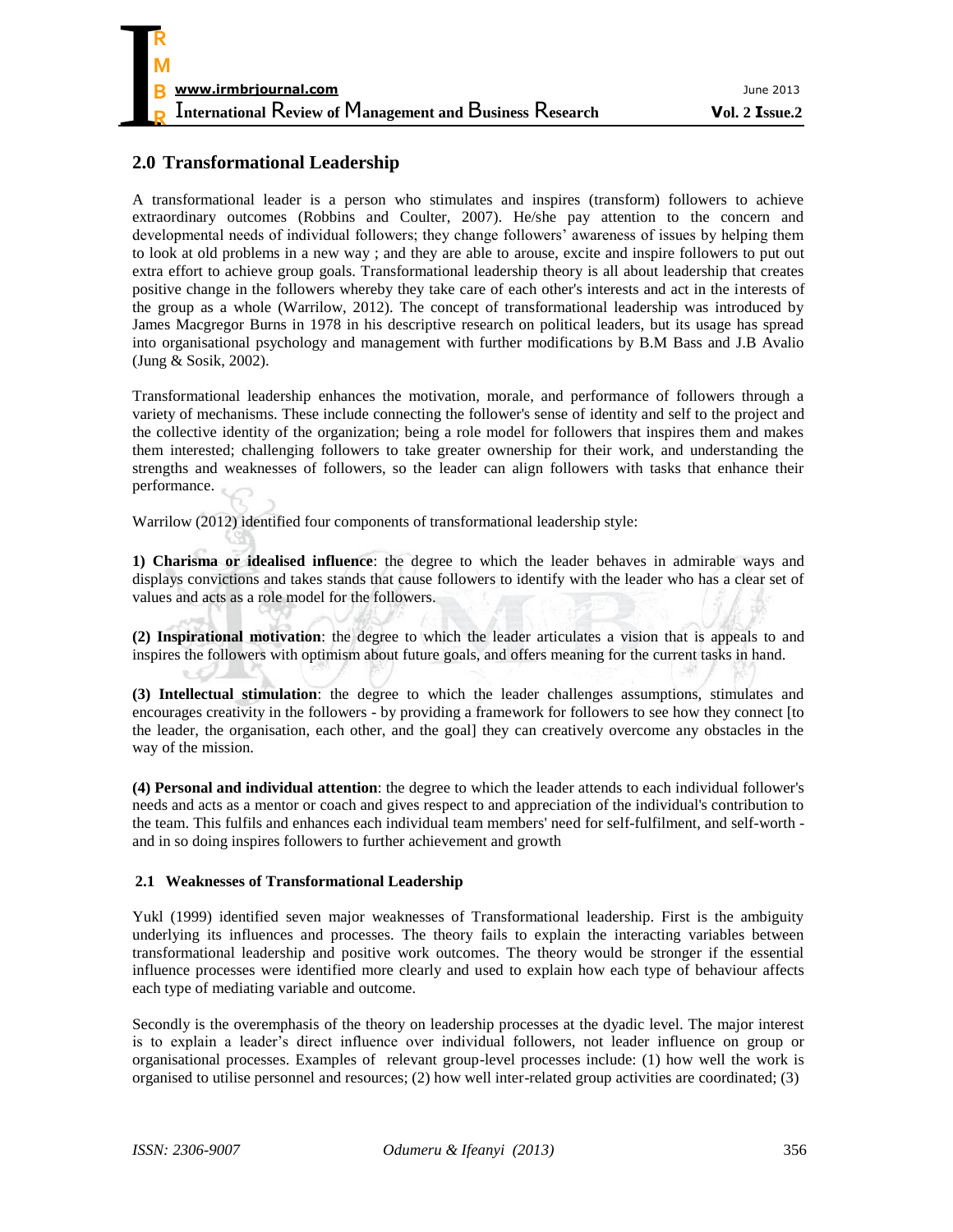## **2.0 Transformational Leadership**

A transformational leader is a person who stimulates and inspires (transform) followers to achieve extraordinary outcomes (Robbins and Coulter, 2007). He/she pay attention to the concern and developmental needs of individual followers; they change followers' awareness of issues by helping them to look at old problems in a new way ; and they are able to arouse, excite and inspire followers to put out extra effort to achieve group goals. Transformational leadership theory is all about leadership that creates positive change in the followers whereby they take care of each other's interests and act in the interests of the group as a whole (Warrilow, 2012). The concept of transformational leadership was introduced by James Macgregor Burns in 1978 in his descriptive research on political leaders, but its usage has spread into organisational psychology and management with further modifications by B.M Bass and J.B Avalio (Jung & Sosik, 2002).

Transformational leadership enhances the motivation, morale, and performance of followers through a variety of mechanisms. These include connecting the follower's sense of identity and self to the project and the collective identity of the organization; being a role model for followers that inspires them and makes them interested; challenging followers to take greater ownership for their work, and understanding the strengths and weaknesses of followers, so the leader can align followers with tasks that enhance their performance.

Warrilow (2012) identified four components of transformational leadership style:

**1) Charisma or idealised influence**: the degree to which the leader behaves in admirable ways and displays convictions and takes stands that cause followers to identify with the leader who has a clear set of values and acts as a role model for the followers.

**(2) Inspirational motivation**: the degree to which the leader articulates a vision that is appeals to and inspires the followers with optimism about future goals, and offers meaning for the current tasks in hand.

**(3) Intellectual stimulation**: the degree to which the leader challenges assumptions, stimulates and encourages creativity in the followers - by providing a framework for followers to see how they connect [to the leader, the organisation, each other, and the goal] they can creatively overcome any obstacles in the way of the mission.

**(4) Personal and individual attention**: the degree to which the leader attends to each individual follower's needs and acts as a mentor or coach and gives respect to and appreciation of the individual's contribution to the team. This fulfils and enhances each individual team members' need for self-fulfilment, and self-worth and in so doing inspires followers to further achievement and growth

#### **2.1 Weaknesses of Transformational Leadership**

Yukl (1999) identified seven major weaknesses of Transformational leadership. First is the ambiguity underlying its influences and processes. The theory fails to explain the interacting variables between transformational leadership and positive work outcomes. The theory would be stronger if the essential influence processes were identified more clearly and used to explain how each type of behaviour affects each type of mediating variable and outcome.

Secondly is the overemphasis of the theory on leadership processes at the dyadic level. The major interest is to explain a leader's direct influence over individual followers, not leader influence on group or organisational processes. Examples of relevant group-level processes include: (1) how well the work is organised to utilise personnel and resources; (2) how well inter-related group activities are coordinated; (3)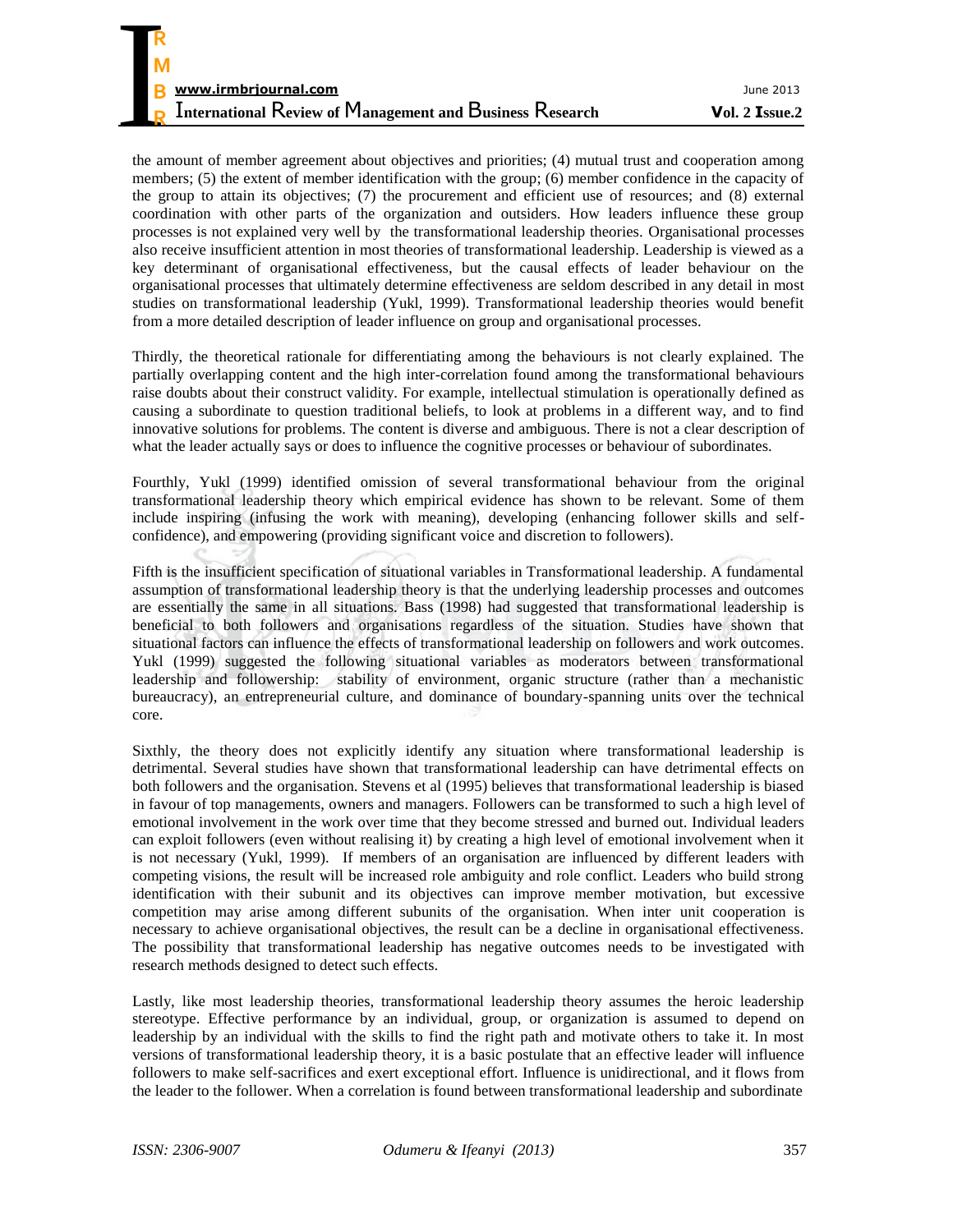the amount of member agreement about objectives and priorities; (4) mutual trust and cooperation among members; (5) the extent of member identification with the group; (6) member confidence in the capacity of the group to attain its objectives; (7) the procurement and efficient use of resources; and (8) external coordination with other parts of the organization and outsiders. How leaders influence these group processes is not explained very well by the transformational leadership theories. Organisational processes also receive insufficient attention in most theories of transformational leadership. Leadership is viewed as a key determinant of organisational effectiveness, but the causal effects of leader behaviour on the organisational processes that ultimately determine effectiveness are seldom described in any detail in most studies on transformational leadership (Yukl, 1999). Transformational leadership theories would benefit from a more detailed description of leader influence on group and organisational processes.

Thirdly, the theoretical rationale for differentiating among the behaviours is not clearly explained. The partially overlapping content and the high inter-correlation found among the transformational behaviours raise doubts about their construct validity. For example, intellectual stimulation is operationally defined as causing a subordinate to question traditional beliefs, to look at problems in a different way, and to find innovative solutions for problems. The content is diverse and ambiguous. There is not a clear description of what the leader actually says or does to influence the cognitive processes or behaviour of subordinates.

Fourthly, Yukl (1999) identified omission of several transformational behaviour from the original transformational leadership theory which empirical evidence has shown to be relevant. Some of them include inspiring (infusing the work with meaning), developing (enhancing follower skills and selfconfidence), and empowering (providing significant voice and discretion to followers).

Fifth is the insufficient specification of situational variables in Transformational leadership. A fundamental assumption of transformational leadership theory is that the underlying leadership processes and outcomes are essentially the same in all situations. Bass (1998) had suggested that transformational leadership is beneficial to both followers and organisations regardless of the situation. Studies have shown that situational factors can influence the effects of transformational leadership on followers and work outcomes. Yukl (1999) suggested the following situational variables as moderators between transformational leadership and followership: stability of environment, organic structure (rather than a mechanistic bureaucracy), an entrepreneurial culture, and dominance of boundary-spanning units over the technical core.

Sixthly, the theory does not explicitly identify any situation where transformational leadership is detrimental. Several studies have shown that transformational leadership can have detrimental effects on both followers and the organisation. Stevens et al (1995) believes that transformational leadership is biased in favour of top managements, owners and managers. Followers can be transformed to such a high level of emotional involvement in the work over time that they become stressed and burned out. Individual leaders can exploit followers (even without realising it) by creating a high level of emotional involvement when it is not necessary (Yukl, 1999). If members of an organisation are influenced by different leaders with competing visions, the result will be increased role ambiguity and role conflict. Leaders who build strong identification with their subunit and its objectives can improve member motivation, but excessive competition may arise among different subunits of the organisation. When inter unit cooperation is necessary to achieve organisational objectives, the result can be a decline in organisational effectiveness. The possibility that transformational leadership has negative outcomes needs to be investigated with research methods designed to detect such effects.

Lastly, like most leadership theories, transformational leadership theory assumes the heroic leadership stereotype. Effective performance by an individual, group, or organization is assumed to depend on leadership by an individual with the skills to find the right path and motivate others to take it. In most versions of transformational leadership theory, it is a basic postulate that an effective leader will influence followers to make self-sacrifices and exert exceptional effort. Influence is unidirectional, and it flows from the leader to the follower. When a correlation is found between transformational leadership and subordinate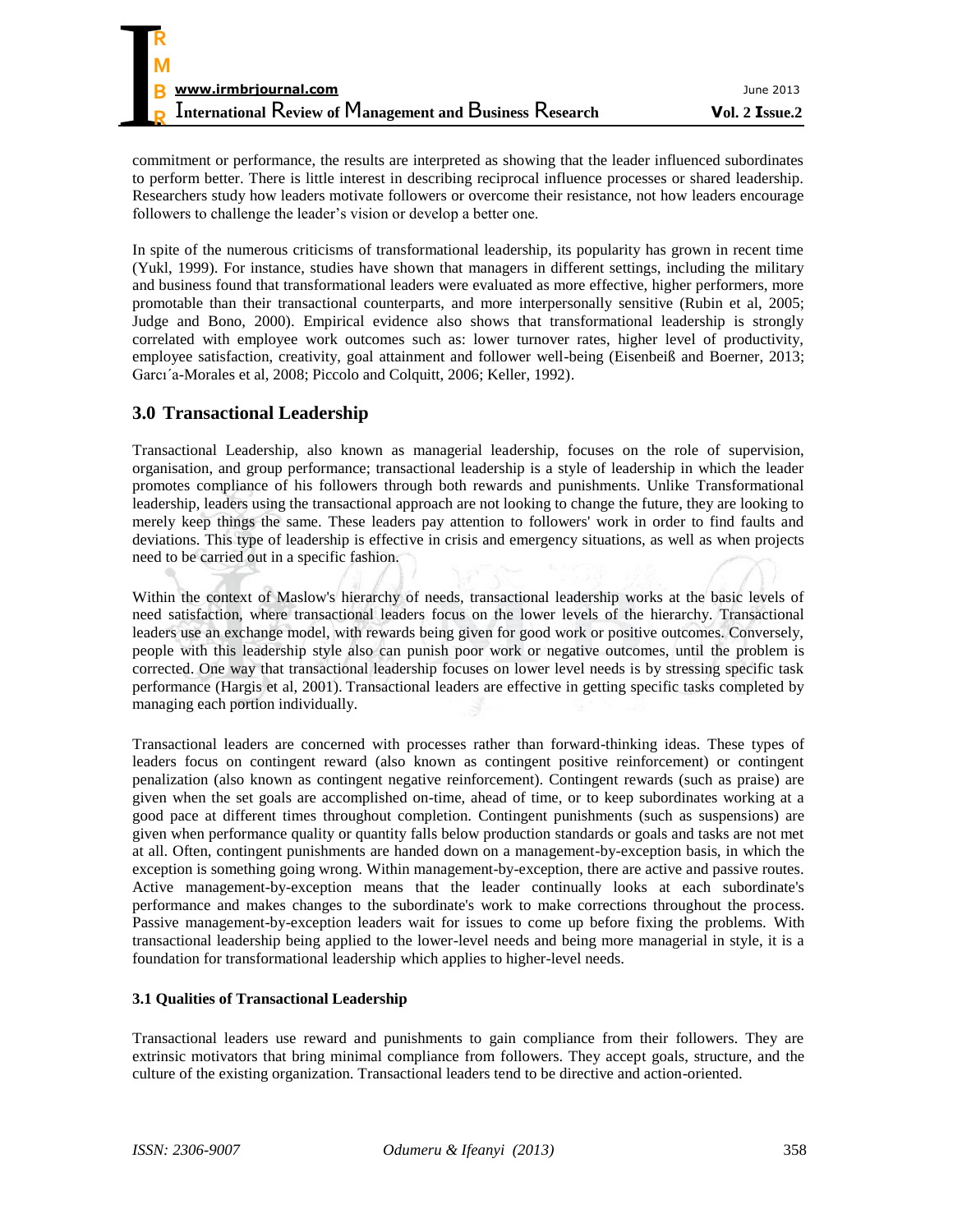commitment or performance, the results are interpreted as showing that the leader influenced subordinates to perform better. There is little interest in describing reciprocal influence processes or shared leadership. Researchers study how leaders motivate followers or overcome their resistance, not how leaders encourage followers to challenge the leader's vision or develop a better one.

In spite of the numerous criticisms of transformational leadership, its popularity has grown in recent time (Yukl, 1999). For instance, studies have shown that managers in different settings, including the military and business found that transformational leaders were evaluated as more effective, higher performers, more promotable than their transactional counterparts, and more interpersonally sensitive (Rubin et al, 2005; Judge and Bono, 2000). Empirical evidence also shows that transformational leadership is strongly correlated with employee work outcomes such as: lower turnover rates, higher level of productivity, employee satisfaction, creativity, goal attainment and follower well-being (Eisenbeiß and Boerner, 2013; Garcı´a-Morales et al, 2008; Piccolo and Colquitt, 2006; Keller, 1992).

## **3.0 Transactional Leadership**

Transactional Leadership, also known as managerial leadership, focuses on the role of supervision, organisation, and group performance; transactional leadership is a style of leadership in which the leader promotes compliance of his followers through both rewards and punishments. Unlike Transformational leadership, leaders using the transactional approach are not looking to change the future, they are looking to merely keep things the same. These leaders pay attention to followers' work in order to find faults and deviations. This type of leadership is effective in crisis and emergency situations, as well as when projects need to be carried out in a specific fashion.

Within the context of Maslow's hierarchy of needs, transactional leadership works at the basic levels of need satisfaction, where transactional leaders focus on the lower levels of the hierarchy. Transactional leaders use an exchange model, with rewards being given for good work or positive outcomes. Conversely, people with this leadership style also can punish poor work or negative outcomes, until the problem is corrected. One way that transactional leadership focuses on lower level needs is by stressing specific task performance (Hargis et al, 2001). Transactional leaders are effective in getting specific tasks completed by managing each portion individually.

Transactional leaders are concerned with processes rather than forward-thinking ideas. These types of leaders focus on contingent reward (also known as contingent positive reinforcement) or contingent penalization (also known as contingent negative reinforcement). Contingent rewards (such as praise) are given when the set goals are accomplished on-time, ahead of time, or to keep subordinates working at a good pace at different times throughout completion. Contingent punishments (such as suspensions) are given when performance quality or quantity falls below production standards or goals and tasks are not met at all. Often, contingent punishments are handed down on a management-by-exception basis, in which the exception is something going wrong. Within management-by-exception, there are active and passive routes. Active management-by-exception means that the leader continually looks at each subordinate's performance and makes changes to the subordinate's work to make corrections throughout the process. Passive management-by-exception leaders wait for issues to come up before fixing the problems. With transactional leadership being applied to the lower-level needs and being more managerial in style, it is a foundation for transformational leadership which applies to higher-level needs.

#### **3.1 Qualities of Transactional Leadership**

Transactional leaders use reward and punishments to gain compliance from their followers. They are extrinsic motivators that bring minimal compliance from followers. They accept goals, structure, and the culture of the existing organization. Transactional leaders tend to be directive and action-oriented.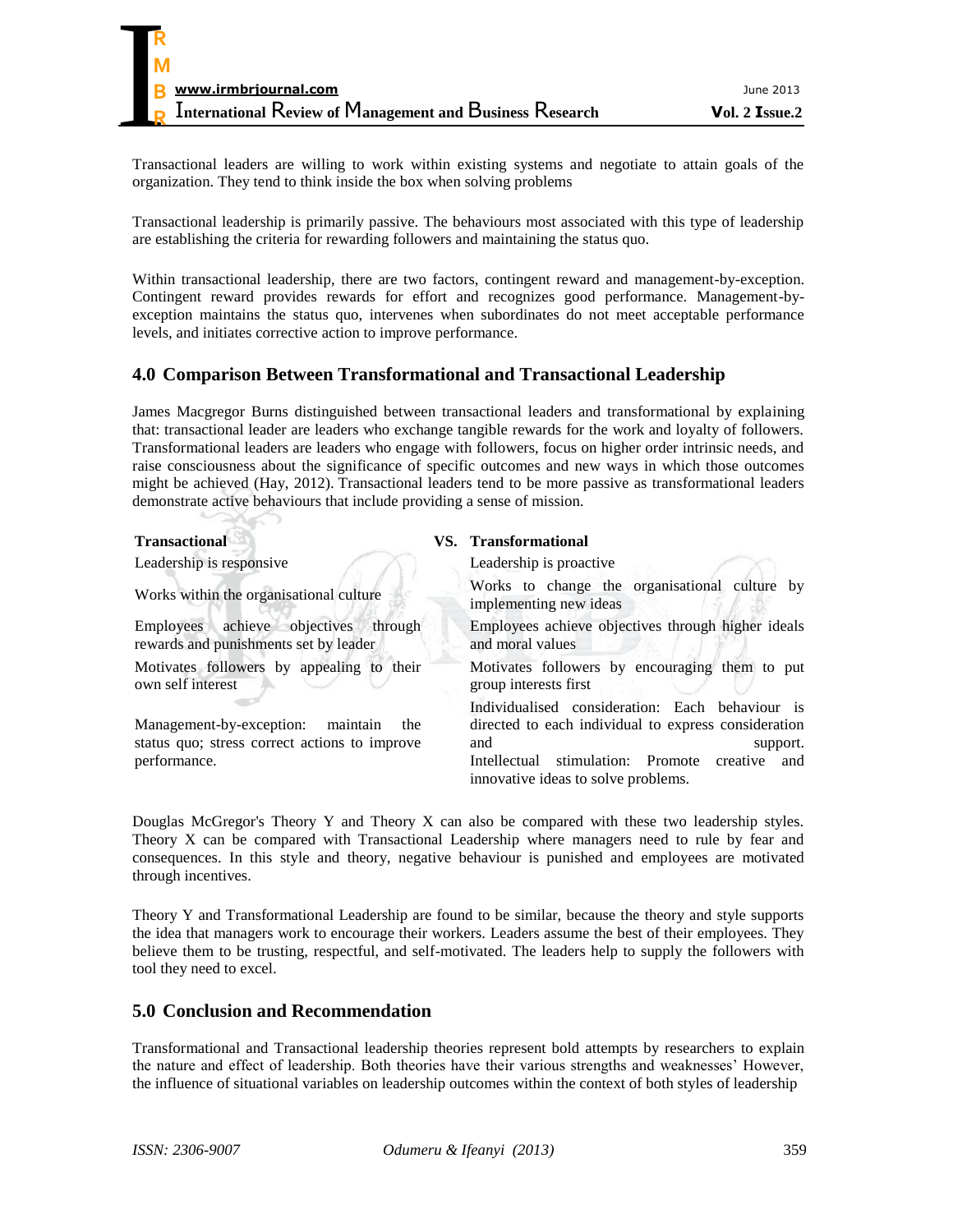Transactional leaders are willing to work within existing systems and negotiate to attain goals of the organization. They tend to think inside the box when solving problems

Transactional leadership is primarily passive. The behaviours most associated with this type of leadership are establishing the criteria for rewarding followers and maintaining the status quo.

Within transactional leadership, there are two factors, contingent reward and management-by-exception. Contingent reward provides rewards for effort and recognizes good performance. Management-byexception maintains the status quo, intervenes when subordinates do not meet acceptable performance levels, and initiates corrective action to improve performance.

## **4.0 Comparison Between Transformational and Transactional Leadership**

James Macgregor Burns distinguished between transactional leaders and transformational by explaining that: transactional leader are leaders who exchange tangible rewards for the work and loyalty of followers. Transformational leaders are leaders who engage with followers, focus on higher order intrinsic needs, and raise consciousness about the significance of specific outcomes and new ways in which those outcomes might be achieved (Hay, 2012). Transactional leaders tend to be more passive as transformational leaders demonstrate active behaviours that include providing a sense of mission.

| <b>Transactional</b>                                                                                      | VS. Transformational                                                                                                                                                                                                         |
|-----------------------------------------------------------------------------------------------------------|------------------------------------------------------------------------------------------------------------------------------------------------------------------------------------------------------------------------------|
| Leadership is responsive                                                                                  | Leadership is proactive.                                                                                                                                                                                                     |
| Works within the organisational culture                                                                   | Works to change the organisational culture by<br>implementing new ideas                                                                                                                                                      |
| Employees achieve objectives<br>through<br>rewards and punishments set by leader                          | Employees achieve objectives through higher ideals<br>and moral values                                                                                                                                                       |
| Motivates followers by appealing to their<br>own self interest                                            | Motivates followers by encouraging them to put<br>group interests first                                                                                                                                                      |
| Management-by-exception: maintain<br>the<br>status quo; stress correct actions to improve<br>performance. | Individualised consideration: Each behaviour is<br>directed to each individual to express consideration<br>and<br>support.<br>stimulation: Promote<br>Intellectual<br>creative<br>and<br>innovative ideas to solve problems. |

Douglas McGregor's Theory Y and Theory X can also be compared with these two leadership styles. Theory X can be compared with Transactional Leadership where managers need to rule by fear and consequences. In this style and theory, negative behaviour is punished and employees are motivated through incentives.

Theory Y and Transformational Leadership are found to be similar, because the theory and style supports the idea that managers work to encourage their workers. Leaders assume the best of their employees. They believe them to be trusting, respectful, and self-motivated. The leaders help to supply the followers with tool they need to excel.

### **5.0 Conclusion and Recommendation**

 $\rightarrow$ 

Transformational and Transactional leadership theories represent bold attempts by researchers to explain the nature and effect of leadership. Both theories have their various strengths and weaknesses' However, the influence of situational variables on leadership outcomes within the context of both styles of leadership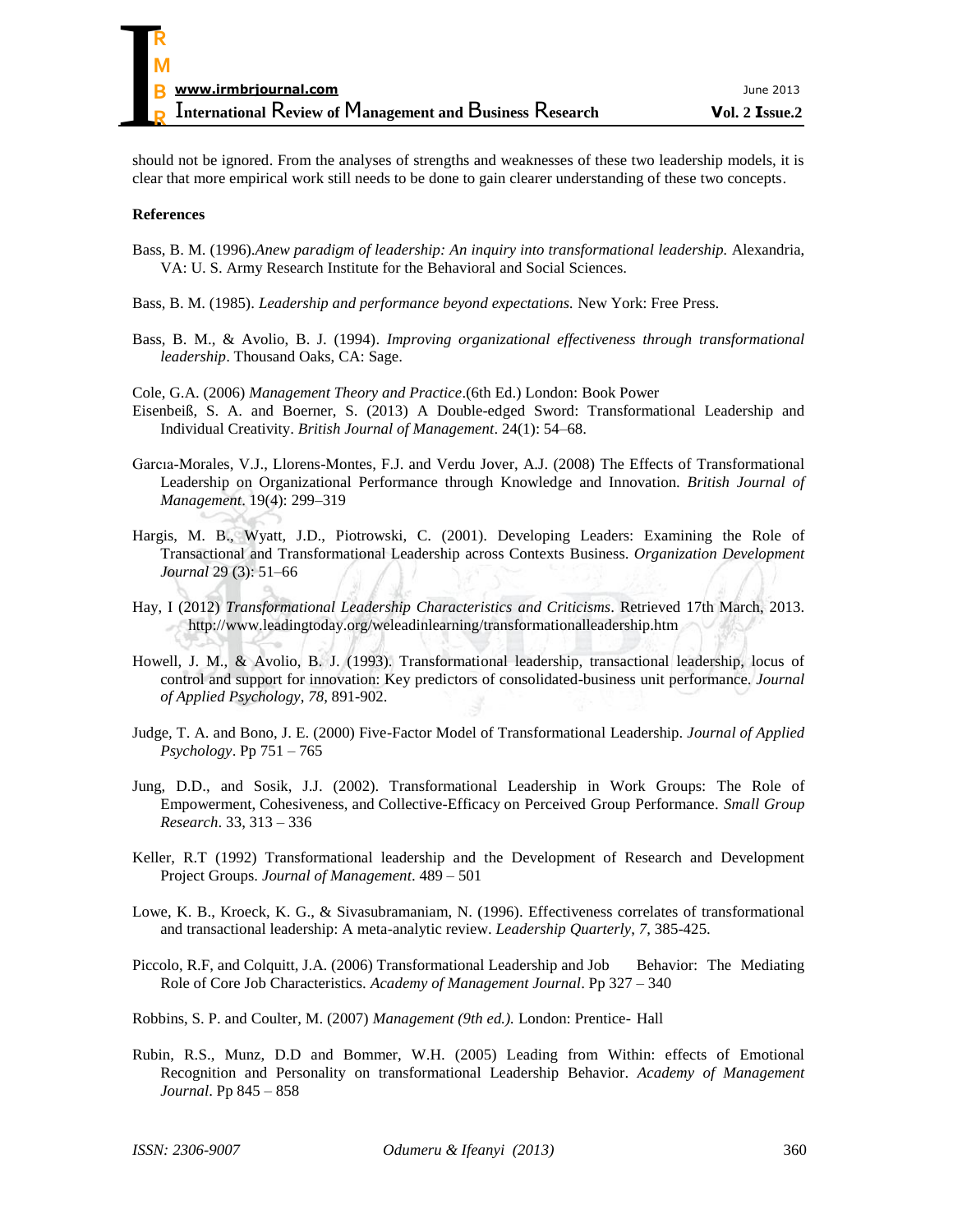should not be ignored. From the analyses of strengths and weaknesses of these two leadership models, it is clear that more empirical work still needs to be done to gain clearer understanding of these two concepts.

#### **References**

- Bass, B. M. (1996).*Anew paradigm of leadership: An inquiry into transformational leadership.* Alexandria, VA: U. S. Army Research Institute for the Behavioral and Social Sciences.
- Bass, B. M. (1985). *Leadership and performance beyond expectations.* New York: Free Press.
- Bass, B. M., & Avolio, B. J. (1994). *Improving organizational effectiveness through transformational leadership*. Thousand Oaks, CA: Sage.
- Cole, G.A. (2006) *Management Theory and Practice*.(6th Ed.) London: Book Power
- Eisenbeiß, S. A. and Boerner, S. (2013) A Double-edged Sword: Transformational Leadership and Individual Creativity. *British Journal of Management*. 24(1): 54–68.
- Garcıa-Morales, V.J., Llorens-Montes, F.J. and Verdu Jover, A.J. (2008) The Effects of Transformational Leadership on Organizational Performance through Knowledge and Innovation. *British Journal of Management*. 19(4): 299–319
- Hargis, M. B., Wyatt, J.D., Piotrowski, C. (2001). Developing Leaders: Examining the Role of Transactional and Transformational Leadership across Contexts Business. *Organization Development Journal* 29 (3): 51–66
- Hay, I (2012) *Transformational Leadership Characteristics and Criticisms*. Retrieved 17th March, 2013. http://www.leadingtoday.org/weleadinlearning/transformationalleadership.htm
- Howell, J. M., & Avolio, B. J. (1993). Transformational leadership, transactional leadership, locus of control and support for innovation: Key predictors of consolidated-business unit performance. *Journal of Applied Psychology*, *78*, 891-902.
- Judge, T. A. and Bono, J. E. (2000) Five-Factor Model of Transformational Leadership. *Journal of Applied Psychology*. Pp 751 – 765
- Jung, D.D., and Sosik, J.J. (2002). Transformational Leadership in Work Groups: The Role of Empowerment, Cohesiveness, and Collective-Efficacy on Perceived Group Performance. *Small Group Research*. 33, 313 – 336
- Keller, R.T (1992) Transformational leadership and the Development of Research and Development Project Groups. *Journal of Management*. 489 – 501
- Lowe, K. B., Kroeck, K. G., & Sivasubramaniam, N. (1996). Effectiveness correlates of transformational and transactional leadership: A meta-analytic review. *Leadership Quarterly*, *7*, 385-425.
- Piccolo, R.F, and Colquitt, J.A. (2006) Transformational Leadership and Job Behavior: The Mediating Role of Core Job Characteristics. *Academy of Management Journal*. Pp 327 – 340
- Robbins, S. P. and Coulter, M. (2007) *Management (9th ed.).* London: Prentice- Hall
- Rubin, R.S., Munz, D.D and Bommer, W.H. (2005) Leading from Within: effects of Emotional Recognition and Personality on transformational Leadership Behavior. *Academy of Management Journal*. Pp 845 – 858